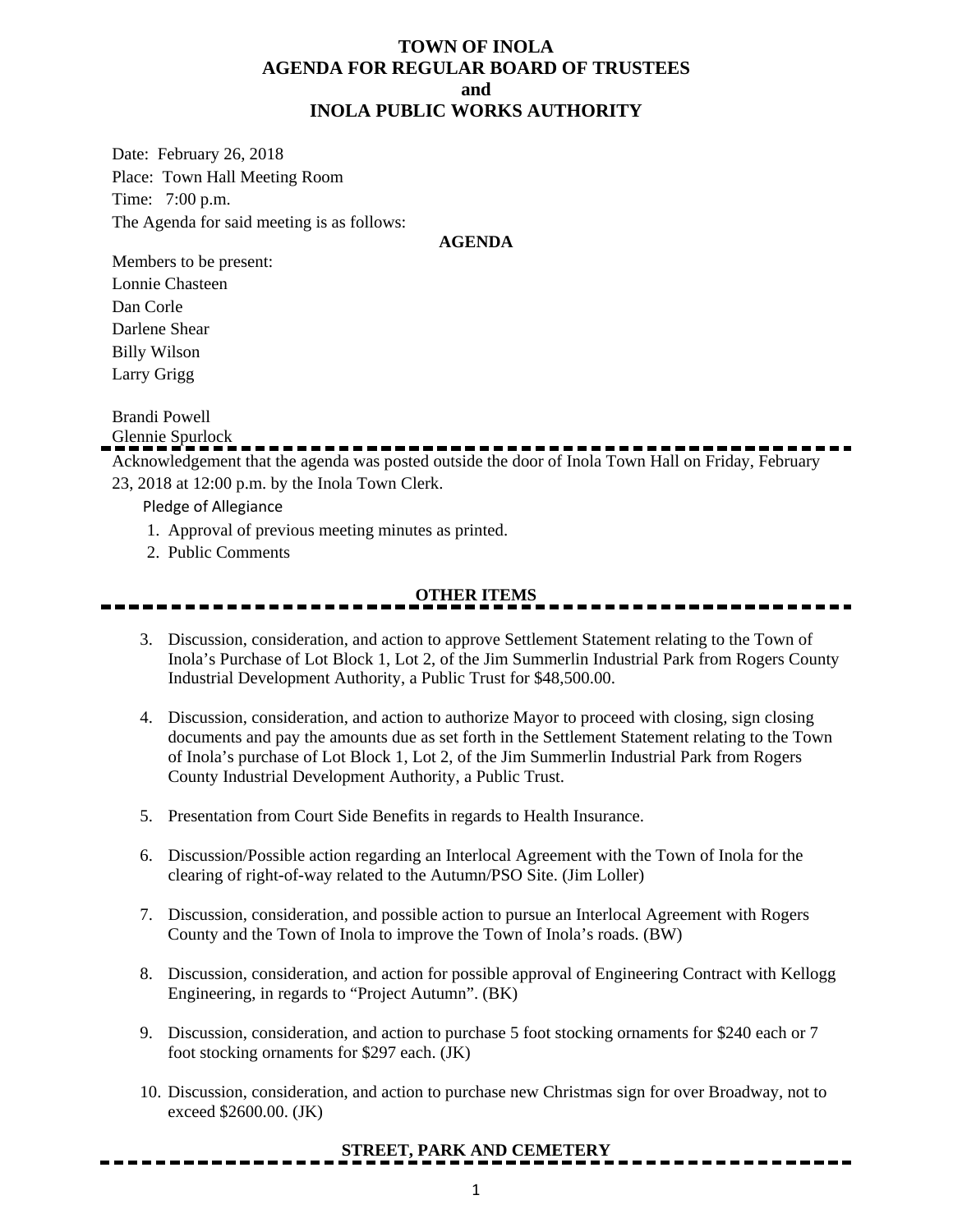#### **TOWN OF INOLA AGENDA FOR REGULAR BOARD OF TRUSTEES and INOLA PUBLIC WORKS AUTHORITY**

Date: February 26, 2018 Place: Town Hall Meeting Room Time: 7:00 p.m. The Agenda for said meeting is as follows:

#### **AGENDA**

Members to be present: Lonnie Chasteen Dan Corle Darlene Shear Billy Wilson Larry Grigg

Brandi Powell

Glennie Spurlock

Acknowledgement that the agenda was posted outside the door of Inola Town Hall on Friday, February 23, 2018 at 12:00 p.m. by the Inola Town Clerk.

Pledge of Allegiance

- 1. Approval of previous meeting minutes as printed.
- 2. Public Comments

### **OTHER ITEMS**

- 3. Discussion, consideration, and action to approve Settlement Statement relating to the Town of Inola's Purchase of Lot Block 1, Lot 2, of the Jim Summerlin Industrial Park from Rogers County Industrial Development Authority, a Public Trust for \$48,500.00.
- 4. Discussion, consideration, and action to authorize Mayor to proceed with closing, sign closing documents and pay the amounts due as set forth in the Settlement Statement relating to the Town of Inola's purchase of Lot Block 1, Lot 2, of the Jim Summerlin Industrial Park from Rogers County Industrial Development Authority, a Public Trust.
- 5. Presentation from Court Side Benefits in regards to Health Insurance.
- 6. Discussion/Possible action regarding an Interlocal Agreement with the Town of Inola for the clearing of right-of-way related to the Autumn/PSO Site. (Jim Loller)
- 7. Discussion, consideration, and possible action to pursue an Interlocal Agreement with Rogers County and the Town of Inola to improve the Town of Inola's roads. (BW)
- 8. Discussion, consideration, and action for possible approval of Engineering Contract with Kellogg Engineering, in regards to "Project Autumn". (BK)
- 9. Discussion, consideration, and action to purchase 5 foot stocking ornaments for \$240 each or 7 foot stocking ornaments for \$297 each. (JK)
- 10. Discussion, consideration, and action to purchase new Christmas sign for over Broadway, not to exceed \$2600.00. (JK)

#### **STREET, PARK AND CEMETERY**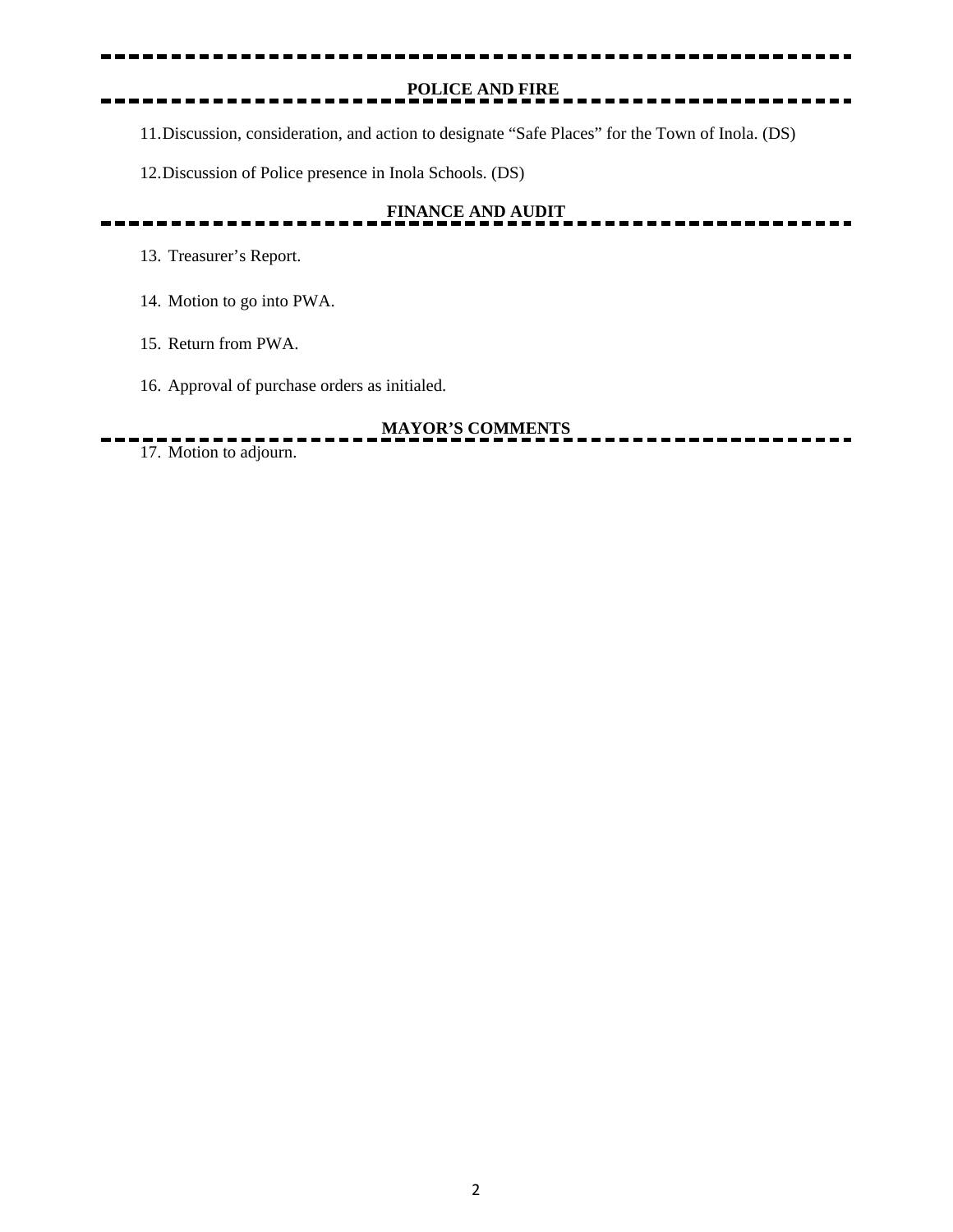**POLICE AND FIRE**

 $- - - - - - - - -$ 

11.Discussion, consideration, and action to designate "Safe Places" for the Town of Inola. (DS)

12.Discussion of Police presence in Inola Schools. (DS)

# **FINANCE AND AUDIT**

13. Treasurer's Report.

14. Motion to go into PWA.

15. Return from PWA.

16. Approval of purchase orders as initialed.

# **MAYOR'S COMMENTS**

17. Motion to adjourn.